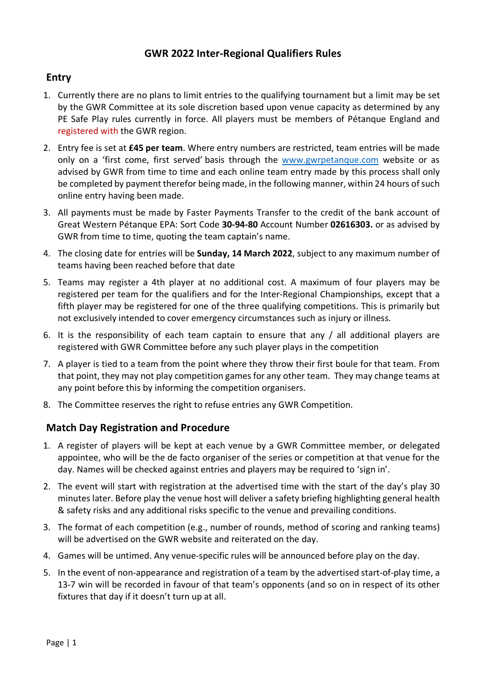# **GWR 2022 Inter-Regional Qualifiers Rules**

# **Entry**

- 1. Currently there are no plans to limit entries to the qualifying tournament but a limit may be set by the GWR Committee at its sole discretion based upon venue capacity as determined by any PE Safe Play rules currently in force. All players must be members of Pétanque England and registered with the GWR region.
- 2. Entry fee is set at **£45 per team**. Where entry numbers are restricted, team entries will be made only on a 'first come, first served' basis through the www.gwrpetanque.com website or as advised by GWR from time to time and each online team entry made by this process shall only be completed by payment therefor being made, in the following manner, within 24 hours of such online entry having been made.
- 3. All payments must be made by Faster Payments Transfer to the credit of the bank account of Great Western Pétanque EPA: Sort Code **30-94-80** Account Number **02616303.** or as advised by GWR from time to time, quoting the team captain's name.
- 4. The closing date for entries will be **Sunday, 14 March 2022**, subject to any maximum number of teams having been reached before that date
- 5. Teams may register a 4th player at no additional cost. A maximum of four players may be registered per team for the qualifiers and for the Inter-Regional Championships, except that a fifth player may be registered for one of the three qualifying competitions. This is primarily but not exclusively intended to cover emergency circumstances such as injury or illness.
- 6. It is the responsibility of each team captain to ensure that any / all additional players are registered with GWR Committee before any such player plays in the competition
- 7. A player is tied to a team from the point where they throw their first boule for that team. From that point, they may not play competition games for any other team. They may change teams at any point before this by informing the competition organisers.
- 8. The Committee reserves the right to refuse entries any GWR Competition.

## **Match Day Registration and Procedure**

- 1. A register of players will be kept at each venue by a GWR Committee member, or delegated appointee, who will be the de facto organiser of the series or competition at that venue for the day. Names will be checked against entries and players may be required to 'sign in'.
- 2. The event will start with registration at the advertised time with the start of the day's play 30 minutes later. Before play the venue host will deliver a safety briefing highlighting general health & safety risks and any additional risks specific to the venue and prevailing conditions.
- 3. The format of each competition (e.g., number of rounds, method of scoring and ranking teams) will be advertised on the GWR website and reiterated on the day.
- 4. Games will be untimed. Any venue-specific rules will be announced before play on the day.
- 5. In the event of non-appearance and registration of a team by the advertised start-of-play time, a 13-7 win will be recorded in favour of that team's opponents (and so on in respect of its other fixtures that day if it doesn't turn up at all.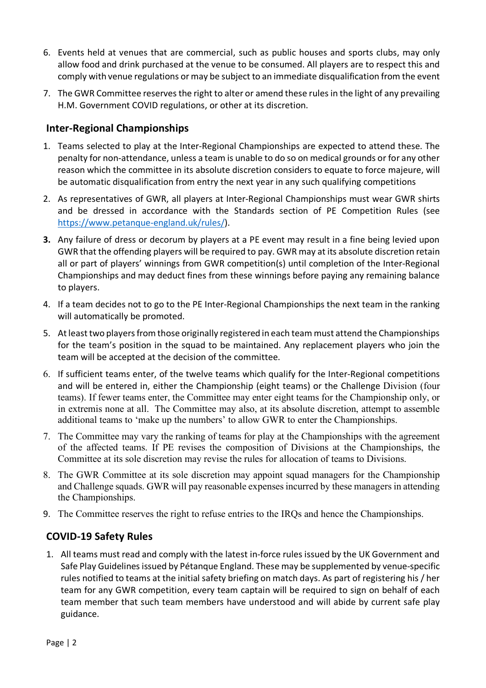- 6. Events held at venues that are commercial, such as public houses and sports clubs, may only allow food and drink purchased at the venue to be consumed. All players are to respect this and comply with venue regulations or may be subject to an immediate disqualification from the event
- 7. The GWR Committee reserves the right to alter or amend these rules in the light of any prevailing H.M. Government COVID regulations, or other at its discretion.

## **Inter-Regional Championships**

- 1. Teams selected to play at the Inter-Regional Championships are expected to attend these. The penalty for non-attendance, unless a team is unable to do so on medical grounds or for any other reason which the committee in its absolute discretion considers to equate to force majeure, will be automatic disqualification from entry the next year in any such qualifying competitions
- 2. As representatives of GWR, all players at Inter-Regional Championships must wear GWR shirts and be dressed in accordance with the Standards section of PE Competition Rules (see https://www.petanque-england.uk/rules/).
- **3.** Any failure of dress or decorum by players at a PE event may result in a fine being levied upon GWR that the offending players will be required to pay. GWR may at its absolute discretion retain all or part of players' winnings from GWR competition(s) until completion of the Inter-Regional Championships and may deduct fines from these winnings before paying any remaining balance to players.
- 4. If a team decides not to go to the PE Inter-Regional Championships the next team in the ranking will automatically be promoted.
- 5. At least two players from those originally registered in each team must attend the Championships for the team's position in the squad to be maintained. Any replacement players who join the team will be accepted at the decision of the committee.
- 6. If sufficient teams enter, of the twelve teams which qualify for the Inter-Regional competitions and will be entered in, either the Championship (eight teams) or the Challenge Division (four teams). If fewer teams enter, the Committee may enter eight teams for the Championship only, or in extremis none at all. The Committee may also, at its absolute discretion, attempt to assemble additional teams to 'make up the numbers' to allow GWR to enter the Championships.
- 7. The Committee may vary the ranking of teams for play at the Championships with the agreement of the affected teams. If PE revises the composition of Divisions at the Championships, the Committee at its sole discretion may revise the rules for allocation of teams to Divisions.
- 8. The GWR Committee at its sole discretion may appoint squad managers for the Championship and Challenge squads. GWR will pay reasonable expenses incurred by these managers in attending the Championships.
- 9. The Committee reserves the right to refuse entries to the IRQs and hence the Championships.

## **COVID-19 Safety Rules**

1. All teams must read and comply with the latest in-force rules issued by the UK Government and Safe Play Guidelines issued by Pétanque England. These may be supplemented by venue-specific rules notified to teams at the initial safety briefing on match days. As part of registering his / her team for any GWR competition, every team captain will be required to sign on behalf of each team member that such team members have understood and will abide by current safe play guidance.